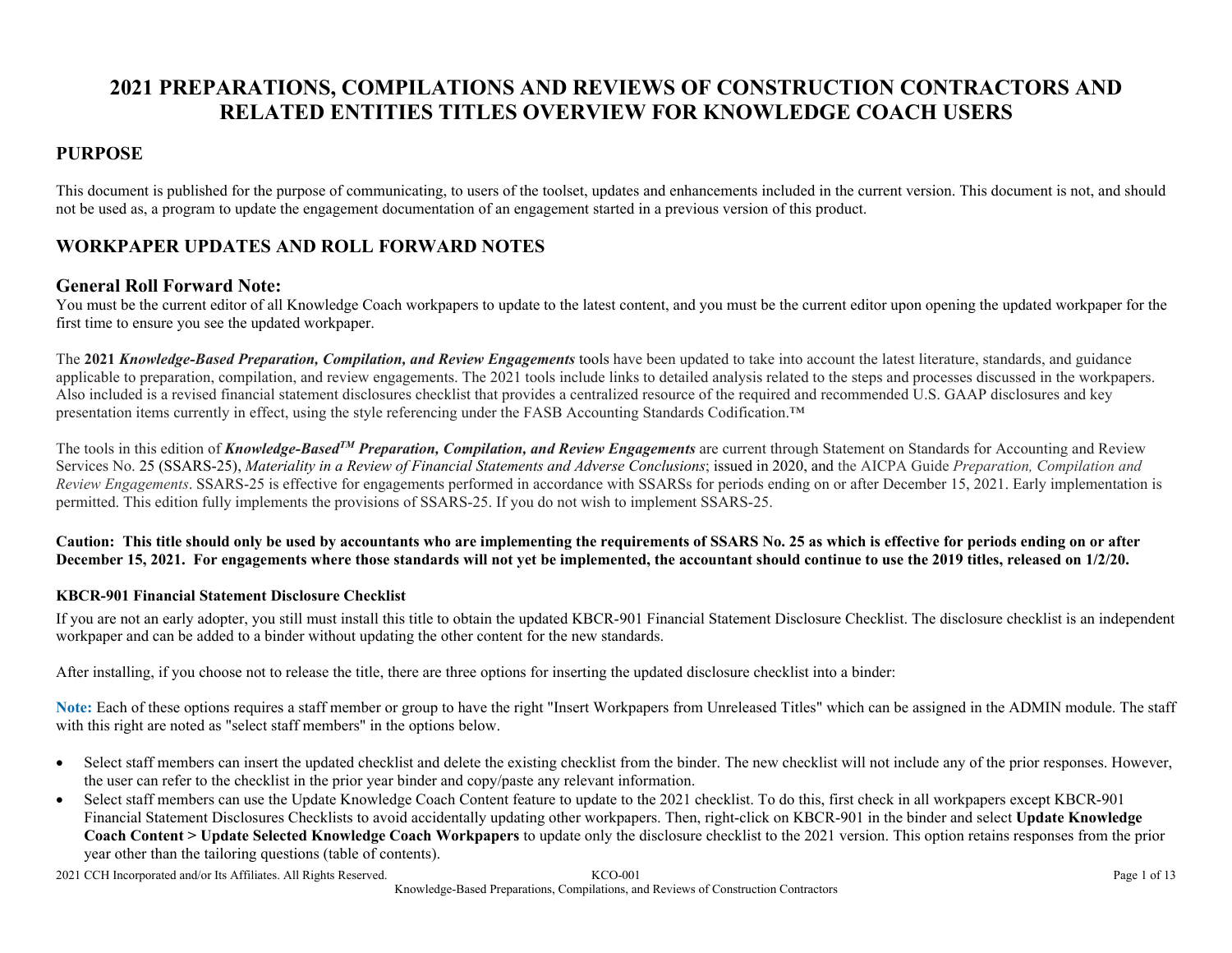# **2021 PREPARATIONS, COMPILATIONS AND REVIEWS OF CONSTRUCTION CONTRACTORS AND RELATED ENTITIES TITLES OVERVIEW FOR KNOWLEDGE COACH USERS**

#### **PURPOSE**

This document is published for the purpose of communicating, to users of the toolset, updates and enhancements included in the current version. This document is not, and should not be used as, a program to update the engagement documentation of an engagement started in a previous version of this product.

### **WORKPAPER UPDATES AND ROLL FORWARD NOTES**

#### **General Roll Forward Note:**

You must be the current editor of all Knowledge Coach workpapers to update to the latest content, and you must be the current editor upon opening the updated workpaper for the first time to ensure you see the updated workpaper.

The **2021** *Knowledge-Based Preparation, Compilation, and Review Engagements* tools have been updated to take into account the latest literature, standards, and guidance applicable to preparation, compilation, and review engagements. The 2021 tools include links to detailed analysis related to the steps and processes discussed in the workpapers. Also included is a revised financial statement disclosures checklist that provides a centralized resource of the required and recommended U.S. GAAP disclosures and key presentation items currently in effect, using the style referencing under the FASB Accounting Standards Codification.™

The tools in this edition of *Knowledge-BasedTM Preparation, Compilation, and Review Engagements* are current through Statement on Standards for Accounting and Review Services No. 25 (SSARS-25), *Materiality in a Review of Financial Statements and Adverse Conclusions*; issued in 2020, and the AICPA Guide *Preparation, Compilation and Review Engagements*. SSARS-25 is effective for engagements performed in accordance with SSARSs for periods ending on or after December 15, 2021. Early implementation is permitted. This edition fully implements the provisions of SSARS-25. If you do not wish to implement SSARS-25.

**Caution: This title should only be used by accountants who are implementing the requirements of SSARS No. 25 as which is effective for periods ending on or after December 15, 2021. For engagements where those standards will not yet be implemented, the accountant should continue to use the 2019 titles, released on 1/2/20.**

#### **KBCR-901 Financial Statement Disclosure Checklist**

If you are not an early adopter, you still must install this title to obtain the updated KBCR-901 Financial Statement Disclosure Checklist. The disclosure checklist is an independent workpaper and can be added to a binder without updating the other content for the new standards.

After installing, if you choose not to release the title, there are three options for inserting the updated disclosure checklist into a binder:

**Note:** Each of these options requires a staff member or group to have the right "Insert Workpapers from Unreleased Titles" which can be assigned in the ADMIN module. The staff with this right are noted as "select staff members" in the options below.

- Select staff members can insert the updated checklist and delete the existing checklist from the binder. The new checklist will not include any of the prior responses. However, the user can refer to the checklist in the prior year binder and copy/paste any relevant information.
- Select staff members can use the Update Knowledge Coach Content feature to update to the 2021 checklist. To do this, first check in all workpapers except KBCR-901 Financial Statement Disclosures Checklists to avoid accidentally updating other workpapers. Then, right-click on KBCR-901 in the binder and select **Update Knowledge Coach Content > Update Selected Knowledge Coach Workpapers** to update only the disclosure checklist to the 2021 version. This option retains responses from the prior year other than the tailoring questions (table of contents).

2021 CCH Incorporated and/or Its Affiliates. All Rights Reserved. KCO-001 Page 1 of 13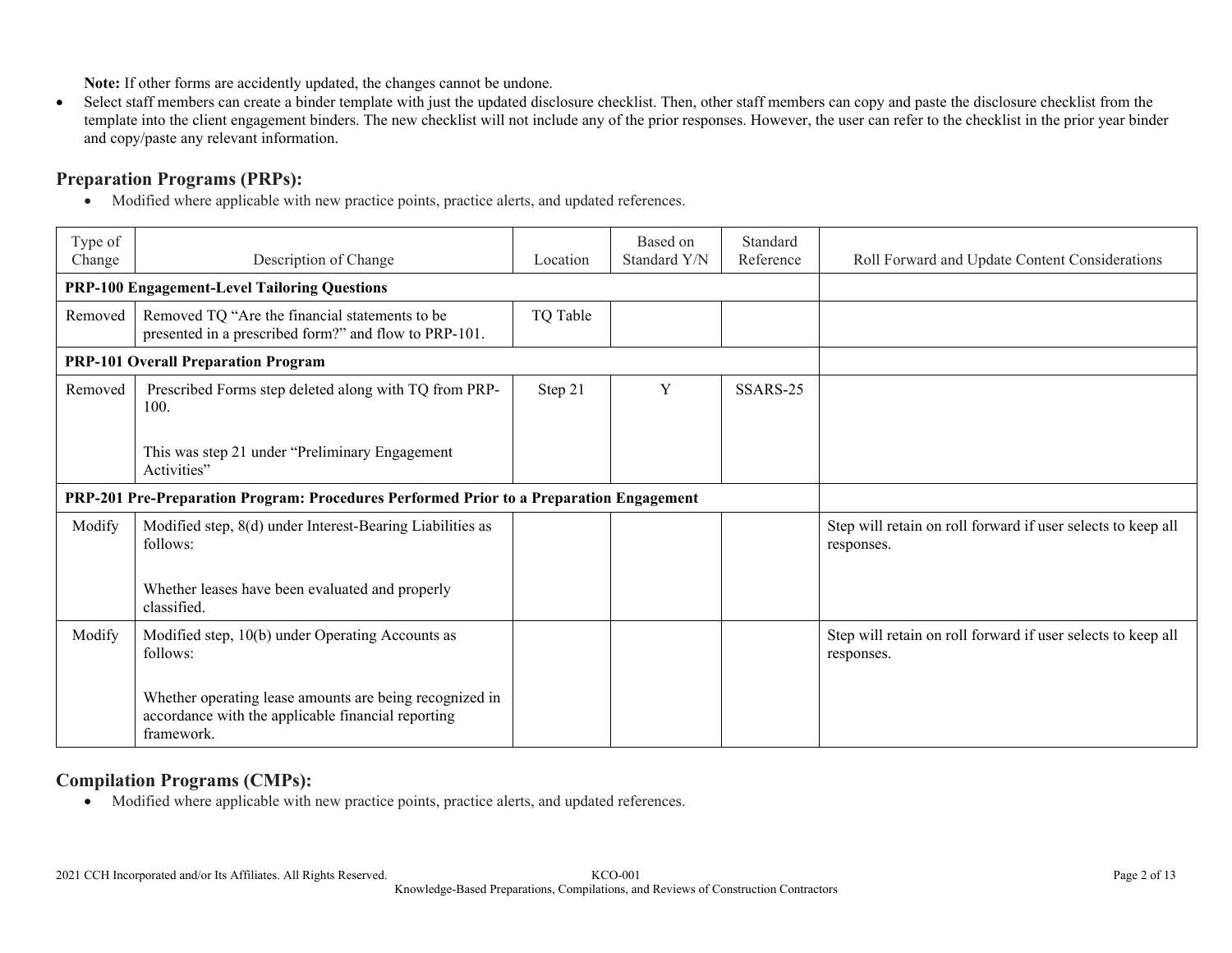**Note:** If other forms are accidently updated, the changes cannot be undone.

 Select staff members can create a binder template with just the updated disclosure checklist. Then, other staff members can copy and paste the disclosure checklist from the template into the client engagement binders. The new checklist will not include any of the prior responses. However, the user can refer to the checklist in the prior year binder and copy/paste any relevant information.

### **Preparation Programs (PRPs):**

Modified where applicable with new practice points, practice alerts, and updated references.

| Type of<br>Change | Description of Change                                                                                                       | Location | Based on<br>Standard Y/N | Standard<br>Reference | Roll Forward and Update Content Considerations                             |
|-------------------|-----------------------------------------------------------------------------------------------------------------------------|----------|--------------------------|-----------------------|----------------------------------------------------------------------------|
|                   | <b>PRP-100 Engagement-Level Tailoring Questions</b>                                                                         |          |                          |                       |                                                                            |
| Removed           | Removed TQ "Are the financial statements to be<br>presented in a prescribed form?" and flow to PRP-101.                     | TQ Table |                          |                       |                                                                            |
|                   | <b>PRP-101 Overall Preparation Program</b>                                                                                  |          |                          |                       |                                                                            |
| Removed           | Prescribed Forms step deleted along with TQ from PRP-<br>100.                                                               | Step 21  | Y                        | SSARS-25              |                                                                            |
|                   | This was step 21 under "Preliminary Engagement<br>Activities"                                                               |          |                          |                       |                                                                            |
|                   | PRP-201 Pre-Preparation Program: Procedures Performed Prior to a Preparation Engagement                                     |          |                          |                       |                                                                            |
| Modify            | Modified step, 8(d) under Interest-Bearing Liabilities as<br>follows:                                                       |          |                          |                       | Step will retain on roll forward if user selects to keep all<br>responses. |
|                   | Whether leases have been evaluated and properly<br>classified.                                                              |          |                          |                       |                                                                            |
| Modify            | Modified step, 10(b) under Operating Accounts as<br>follows:                                                                |          |                          |                       | Step will retain on roll forward if user selects to keep all<br>responses. |
|                   | Whether operating lease amounts are being recognized in<br>accordance with the applicable financial reporting<br>framework. |          |                          |                       |                                                                            |

### **Compilation Programs (CMPs):**

Modified where applicable with new practice points, practice alerts, and updated references.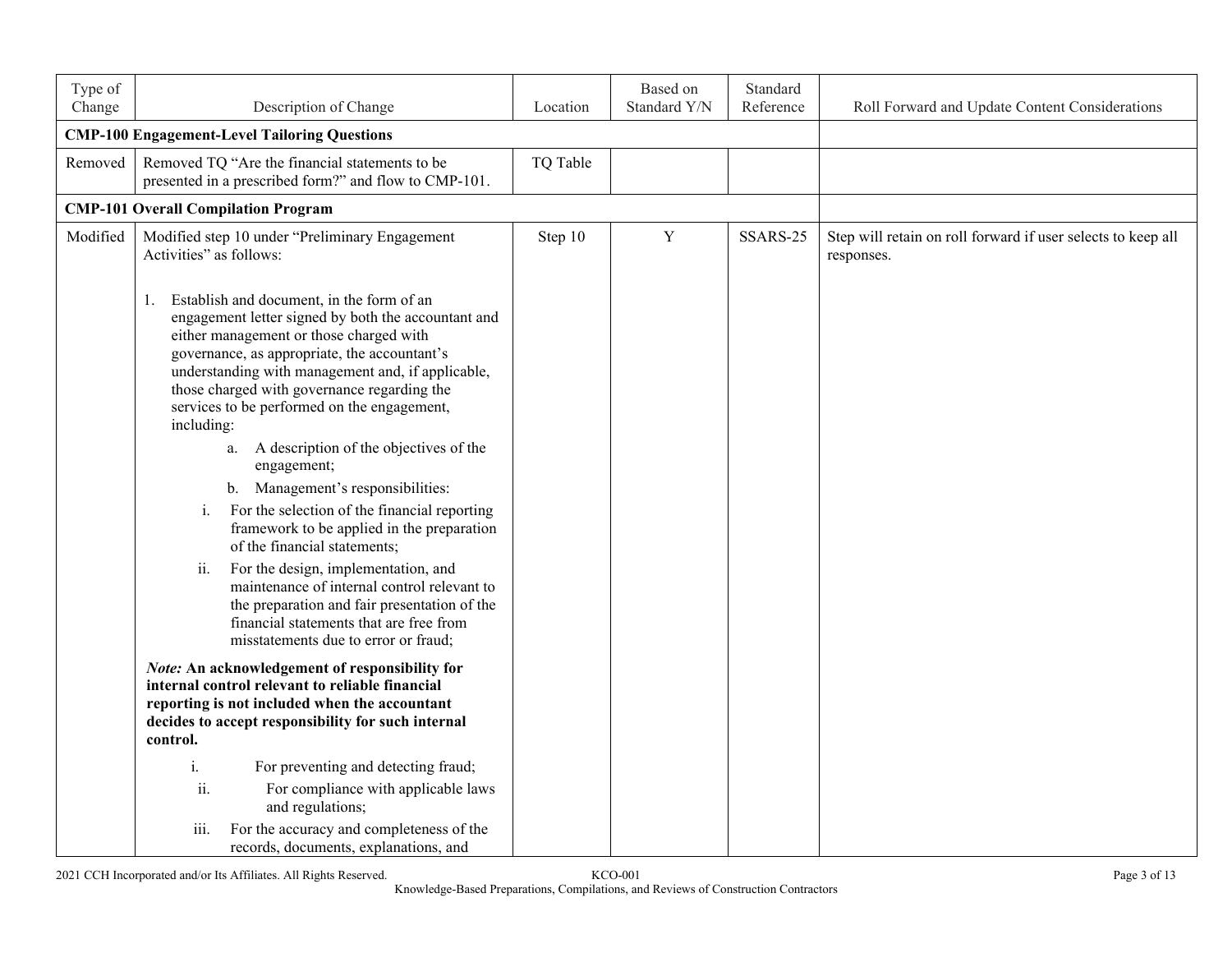| Type of<br>Change | Description of Change                                                                                                                                                                                                                                                                                                                                              | Location | Based on<br>Standard Y/N | Standard<br>Reference | Roll Forward and Update Content Considerations                             |
|-------------------|--------------------------------------------------------------------------------------------------------------------------------------------------------------------------------------------------------------------------------------------------------------------------------------------------------------------------------------------------------------------|----------|--------------------------|-----------------------|----------------------------------------------------------------------------|
|                   | <b>CMP-100 Engagement-Level Tailoring Questions</b>                                                                                                                                                                                                                                                                                                                |          |                          |                       |                                                                            |
| Removed           | Removed TQ "Are the financial statements to be<br>presented in a prescribed form?" and flow to CMP-101.                                                                                                                                                                                                                                                            | TQ Table |                          |                       |                                                                            |
|                   | <b>CMP-101 Overall Compilation Program</b>                                                                                                                                                                                                                                                                                                                         |          |                          |                       |                                                                            |
| Modified          | Modified step 10 under "Preliminary Engagement<br>Activities" as follows:                                                                                                                                                                                                                                                                                          | Step 10  | Y                        | SSARS-25              | Step will retain on roll forward if user selects to keep all<br>responses. |
|                   | Establish and document, in the form of an<br>1.<br>engagement letter signed by both the accountant and<br>either management or those charged with<br>governance, as appropriate, the accountant's<br>understanding with management and, if applicable,<br>those charged with governance regarding the<br>services to be performed on the engagement,<br>including: |          |                          |                       |                                                                            |
|                   | a. A description of the objectives of the<br>engagement;                                                                                                                                                                                                                                                                                                           |          |                          |                       |                                                                            |
|                   | b. Management's responsibilities:<br>For the selection of the financial reporting<br>i.<br>framework to be applied in the preparation<br>of the financial statements;                                                                                                                                                                                              |          |                          |                       |                                                                            |
|                   | ii.<br>For the design, implementation, and<br>maintenance of internal control relevant to<br>the preparation and fair presentation of the<br>financial statements that are free from<br>misstatements due to error or fraud;                                                                                                                                       |          |                          |                       |                                                                            |
|                   | <b>Note:</b> An acknowledgement of responsibility for<br>internal control relevant to reliable financial<br>reporting is not included when the accountant<br>decides to accept responsibility for such internal<br>control.                                                                                                                                        |          |                          |                       |                                                                            |
|                   | For preventing and detecting fraud;<br>i.<br>For compliance with applicable laws<br>ii.<br>and regulations;                                                                                                                                                                                                                                                        |          |                          |                       |                                                                            |
|                   | iii.<br>For the accuracy and completeness of the<br>records, documents, explanations, and                                                                                                                                                                                                                                                                          |          |                          |                       |                                                                            |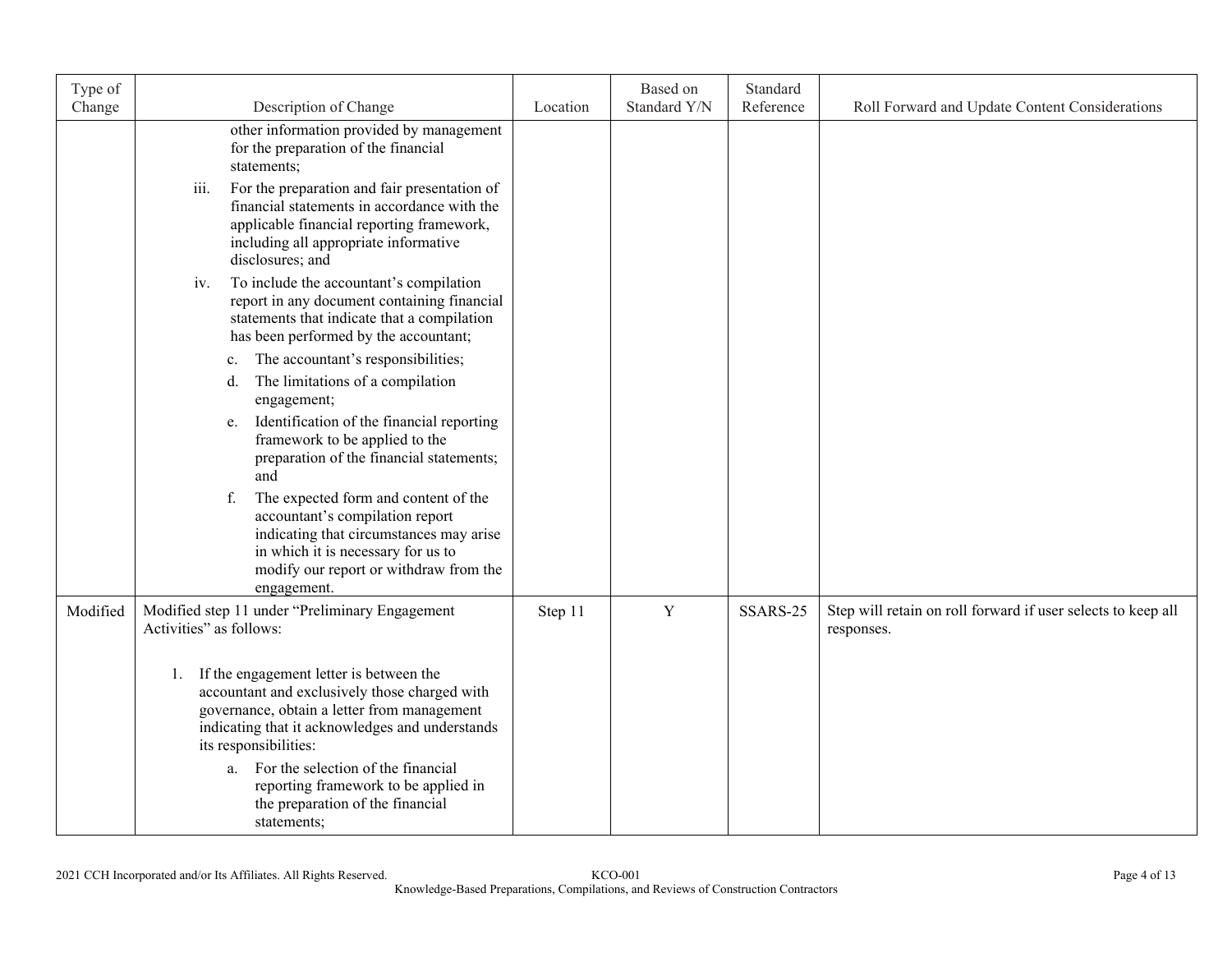| Type of  |                                                                                                                                                                                                                                                                                                                                                                  |          | Based on<br>Standard Y/N | Standard<br>Reference |                                                                            |
|----------|------------------------------------------------------------------------------------------------------------------------------------------------------------------------------------------------------------------------------------------------------------------------------------------------------------------------------------------------------------------|----------|--------------------------|-----------------------|----------------------------------------------------------------------------|
| Change   | Description of Change                                                                                                                                                                                                                                                                                                                                            | Location |                          |                       | Roll Forward and Update Content Considerations                             |
|          | other information provided by management<br>for the preparation of the financial<br>statements;                                                                                                                                                                                                                                                                  |          |                          |                       |                                                                            |
|          | iii.<br>For the preparation and fair presentation of<br>financial statements in accordance with the<br>applicable financial reporting framework,<br>including all appropriate informative<br>disclosures; and                                                                                                                                                    |          |                          |                       |                                                                            |
|          | To include the accountant's compilation<br>iv.<br>report in any document containing financial<br>statements that indicate that a compilation<br>has been performed by the accountant;                                                                                                                                                                            |          |                          |                       |                                                                            |
|          | The accountant's responsibilities;<br>c.<br>The limitations of a compilation<br>d.<br>engagement;                                                                                                                                                                                                                                                                |          |                          |                       |                                                                            |
|          | Identification of the financial reporting<br>e.<br>framework to be applied to the<br>preparation of the financial statements;<br>and                                                                                                                                                                                                                             |          |                          |                       |                                                                            |
|          | The expected form and content of the<br>f.<br>accountant's compilation report<br>indicating that circumstances may arise<br>in which it is necessary for us to<br>modify our report or withdraw from the<br>engagement.                                                                                                                                          |          |                          |                       |                                                                            |
| Modified | Modified step 11 under "Preliminary Engagement<br>Activities" as follows:                                                                                                                                                                                                                                                                                        | Step 11  | $\mathbf Y$              | SSARS-25              | Step will retain on roll forward if user selects to keep all<br>responses. |
|          | If the engagement letter is between the<br>1.<br>accountant and exclusively those charged with<br>governance, obtain a letter from management<br>indicating that it acknowledges and understands<br>its responsibilities:<br>For the selection of the financial<br>a.<br>reporting framework to be applied in<br>the preparation of the financial<br>statements; |          |                          |                       |                                                                            |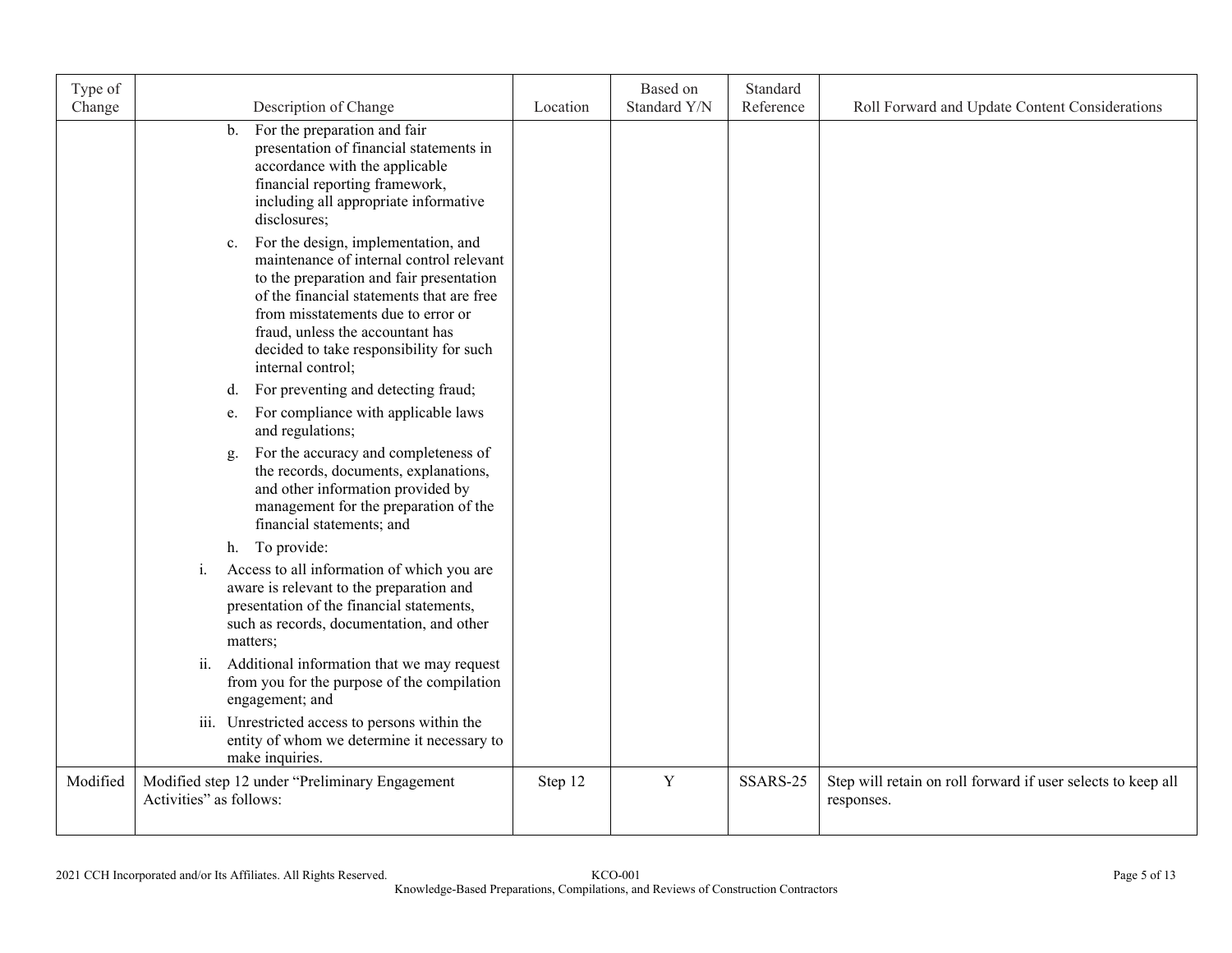| Type of<br>Change | Description of Change                                                                                                                                                                                                                                                                                                    | Location | Based on<br>Standard Y/N | Standard<br>Reference | Roll Forward and Update Content Considerations                             |
|-------------------|--------------------------------------------------------------------------------------------------------------------------------------------------------------------------------------------------------------------------------------------------------------------------------------------------------------------------|----------|--------------------------|-----------------------|----------------------------------------------------------------------------|
|                   | For the preparation and fair<br>$\mathbf{b}$ .<br>presentation of financial statements in<br>accordance with the applicable<br>financial reporting framework,<br>including all appropriate informative<br>disclosures;                                                                                                   |          |                          |                       |                                                                            |
|                   | For the design, implementation, and<br>c.<br>maintenance of internal control relevant<br>to the preparation and fair presentation<br>of the financial statements that are free<br>from misstatements due to error or<br>fraud, unless the accountant has<br>decided to take responsibility for such<br>internal control; |          |                          |                       |                                                                            |
|                   | For preventing and detecting fraud;<br>d.<br>For compliance with applicable laws<br>e.                                                                                                                                                                                                                                   |          |                          |                       |                                                                            |
|                   | and regulations;<br>For the accuracy and completeness of<br>g.<br>the records, documents, explanations,<br>and other information provided by<br>management for the preparation of the<br>financial statements; and                                                                                                       |          |                          |                       |                                                                            |
|                   | h. To provide:                                                                                                                                                                                                                                                                                                           |          |                          |                       |                                                                            |
|                   | Access to all information of which you are<br>i.<br>aware is relevant to the preparation and<br>presentation of the financial statements,<br>such as records, documentation, and other<br>matters;                                                                                                                       |          |                          |                       |                                                                            |
|                   | Additional information that we may request<br>ii.<br>from you for the purpose of the compilation<br>engagement; and                                                                                                                                                                                                      |          |                          |                       |                                                                            |
|                   | iii. Unrestricted access to persons within the<br>entity of whom we determine it necessary to<br>make inquiries.                                                                                                                                                                                                         |          |                          |                       |                                                                            |
| Modified          | Modified step 12 under "Preliminary Engagement<br>Activities" as follows:                                                                                                                                                                                                                                                | Step 12  | $\mathbf Y$              | SSARS-25              | Step will retain on roll forward if user selects to keep all<br>responses. |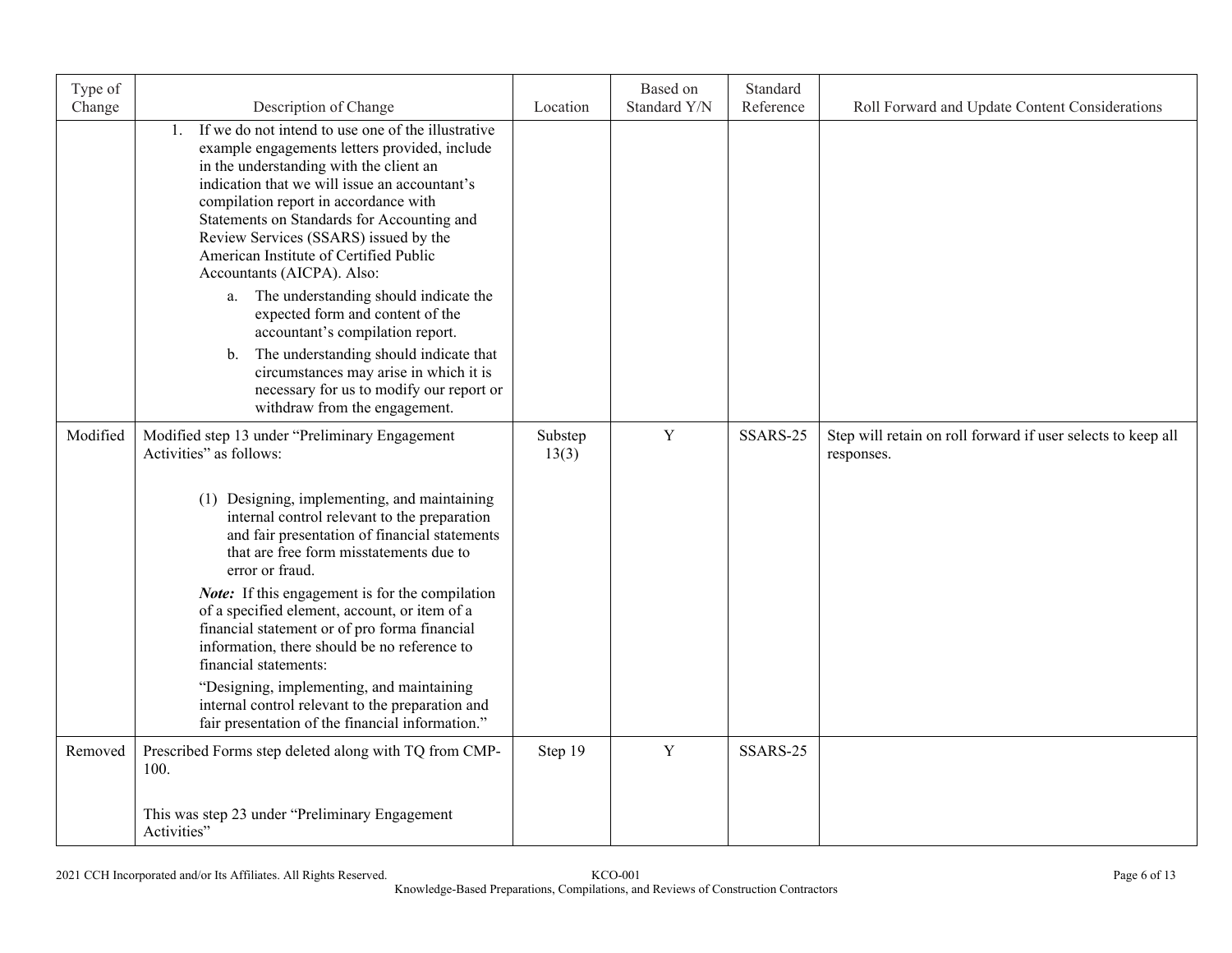| Type of<br>Change | Description of Change                                                                                                                                                                                                                                                                                                                                                                                                                                                                                                             | Location         | Based on<br>Standard Y/N | Standard<br>Reference | Roll Forward and Update Content Considerations                             |
|-------------------|-----------------------------------------------------------------------------------------------------------------------------------------------------------------------------------------------------------------------------------------------------------------------------------------------------------------------------------------------------------------------------------------------------------------------------------------------------------------------------------------------------------------------------------|------------------|--------------------------|-----------------------|----------------------------------------------------------------------------|
|                   | If we do not intend to use one of the illustrative<br>1.<br>example engagements letters provided, include<br>in the understanding with the client an<br>indication that we will issue an accountant's<br>compilation report in accordance with<br>Statements on Standards for Accounting and<br>Review Services (SSARS) issued by the<br>American Institute of Certified Public<br>Accountants (AICPA). Also:<br>a. The understanding should indicate the<br>expected form and content of the<br>accountant's compilation report. |                  |                          |                       |                                                                            |
|                   | The understanding should indicate that<br>$\mathbf{b}$ .<br>circumstances may arise in which it is<br>necessary for us to modify our report or<br>withdraw from the engagement.                                                                                                                                                                                                                                                                                                                                                   |                  |                          |                       |                                                                            |
| Modified          | Modified step 13 under "Preliminary Engagement<br>Activities" as follows:                                                                                                                                                                                                                                                                                                                                                                                                                                                         | Substep<br>13(3) | $\mathbf Y$              | SSARS-25              | Step will retain on roll forward if user selects to keep all<br>responses. |
|                   | (1) Designing, implementing, and maintaining<br>internal control relevant to the preparation<br>and fair presentation of financial statements<br>that are free form misstatements due to<br>error or fraud.                                                                                                                                                                                                                                                                                                                       |                  |                          |                       |                                                                            |
|                   | <i>Note:</i> If this engagement is for the compilation<br>of a specified element, account, or item of a<br>financial statement or of pro forma financial<br>information, there should be no reference to<br>financial statements:                                                                                                                                                                                                                                                                                                 |                  |                          |                       |                                                                            |
|                   | "Designing, implementing, and maintaining<br>internal control relevant to the preparation and<br>fair presentation of the financial information."                                                                                                                                                                                                                                                                                                                                                                                 |                  |                          |                       |                                                                            |
| Removed           | Prescribed Forms step deleted along with TQ from CMP-<br>100.                                                                                                                                                                                                                                                                                                                                                                                                                                                                     | Step 19          | Y                        | SSARS-25              |                                                                            |
|                   | This was step 23 under "Preliminary Engagement<br>Activities"                                                                                                                                                                                                                                                                                                                                                                                                                                                                     |                  |                          |                       |                                                                            |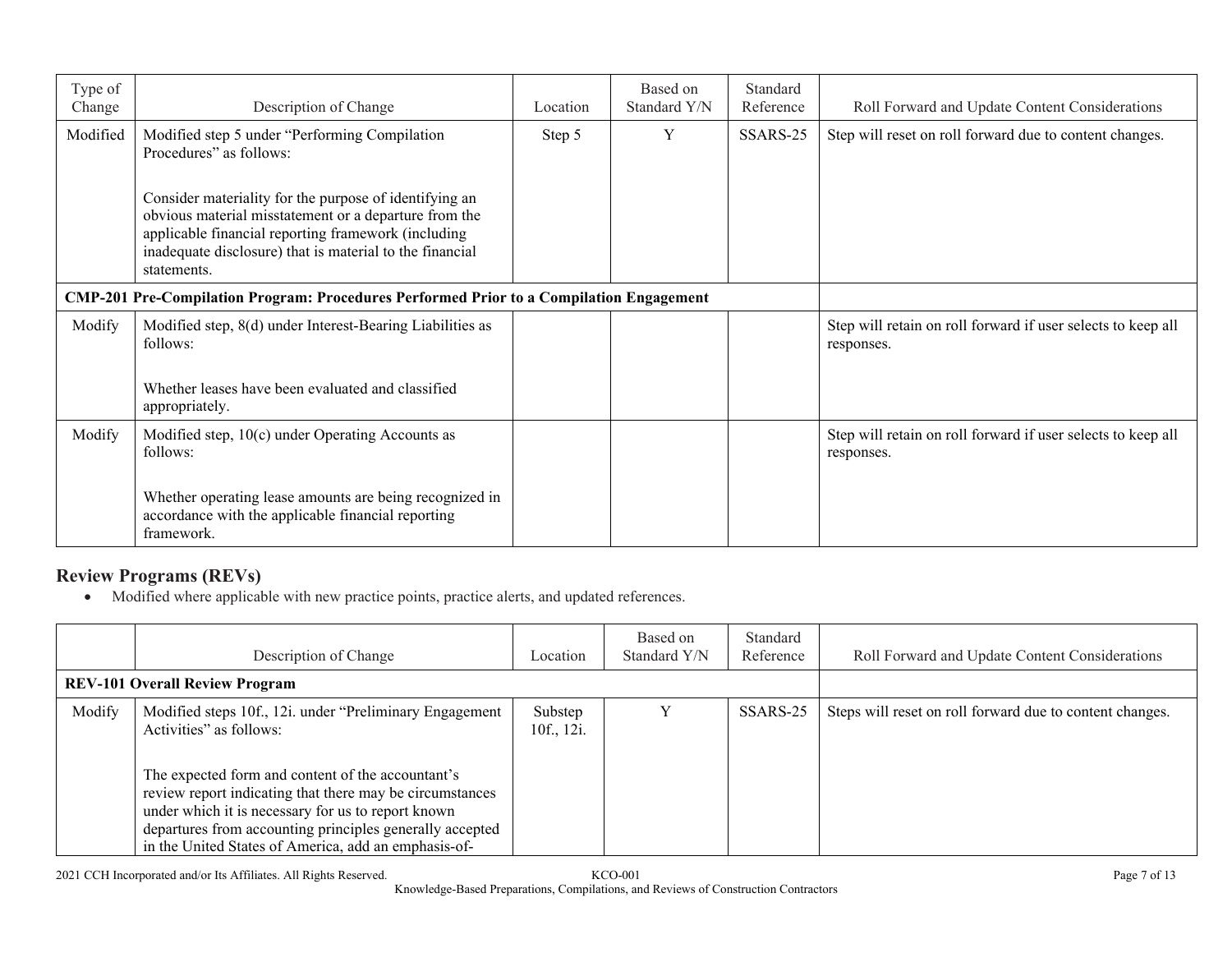| Type of<br>Change | Description of Change                                                                                                                                                                                                                             | Location | Based on<br>Standard Y/N | Standard<br>Reference | Roll Forward and Update Content Considerations                             |
|-------------------|---------------------------------------------------------------------------------------------------------------------------------------------------------------------------------------------------------------------------------------------------|----------|--------------------------|-----------------------|----------------------------------------------------------------------------|
| Modified          | Modified step 5 under "Performing Compilation<br>Procedures" as follows:                                                                                                                                                                          | Step 5   | Y                        | SSARS-25              | Step will reset on roll forward due to content changes.                    |
|                   | Consider materiality for the purpose of identifying an<br>obvious material misstatement or a departure from the<br>applicable financial reporting framework (including<br>inadequate disclosure) that is material to the financial<br>statements. |          |                          |                       |                                                                            |
|                   | <b>CMP-201 Pre-Compilation Program: Procedures Performed Prior to a Compilation Engagement</b>                                                                                                                                                    |          |                          |                       |                                                                            |
| Modify            | Modified step, 8(d) under Interest-Bearing Liabilities as<br>follows:                                                                                                                                                                             |          |                          |                       | Step will retain on roll forward if user selects to keep all<br>responses. |
|                   | Whether leases have been evaluated and classified<br>appropriately.                                                                                                                                                                               |          |                          |                       |                                                                            |
| Modify            | Modified step, 10(c) under Operating Accounts as<br>follows:                                                                                                                                                                                      |          |                          |                       | Step will retain on roll forward if user selects to keep all<br>responses. |
|                   | Whether operating lease amounts are being recognized in<br>accordance with the applicable financial reporting<br>framework.                                                                                                                       |          |                          |                       |                                                                            |

# **Review Programs (REVs)**

Modified where applicable with new practice points, practice alerts, and updated references.

|                                       | Description of Change                                                                                                                                                                                                                                                                                                                                                          | Location              | Based on<br>Standard Y/N | Standard<br>Reference | Roll Forward and Update Content Considerations           |
|---------------------------------------|--------------------------------------------------------------------------------------------------------------------------------------------------------------------------------------------------------------------------------------------------------------------------------------------------------------------------------------------------------------------------------|-----------------------|--------------------------|-----------------------|----------------------------------------------------------|
| <b>REV-101 Overall Review Program</b> |                                                                                                                                                                                                                                                                                                                                                                                |                       |                          |                       |                                                          |
| Modify                                | Modified steps 10f., 12i. under "Preliminary Engagement"<br>Activities" as follows:<br>The expected form and content of the accountant's<br>review report indicating that there may be circumstances<br>under which it is necessary for us to report known<br>departures from accounting principles generally accepted<br>in the United States of America, add an emphasis-of- | Substep<br>10f., 12i. |                          | SSARS-25              | Steps will reset on roll forward due to content changes. |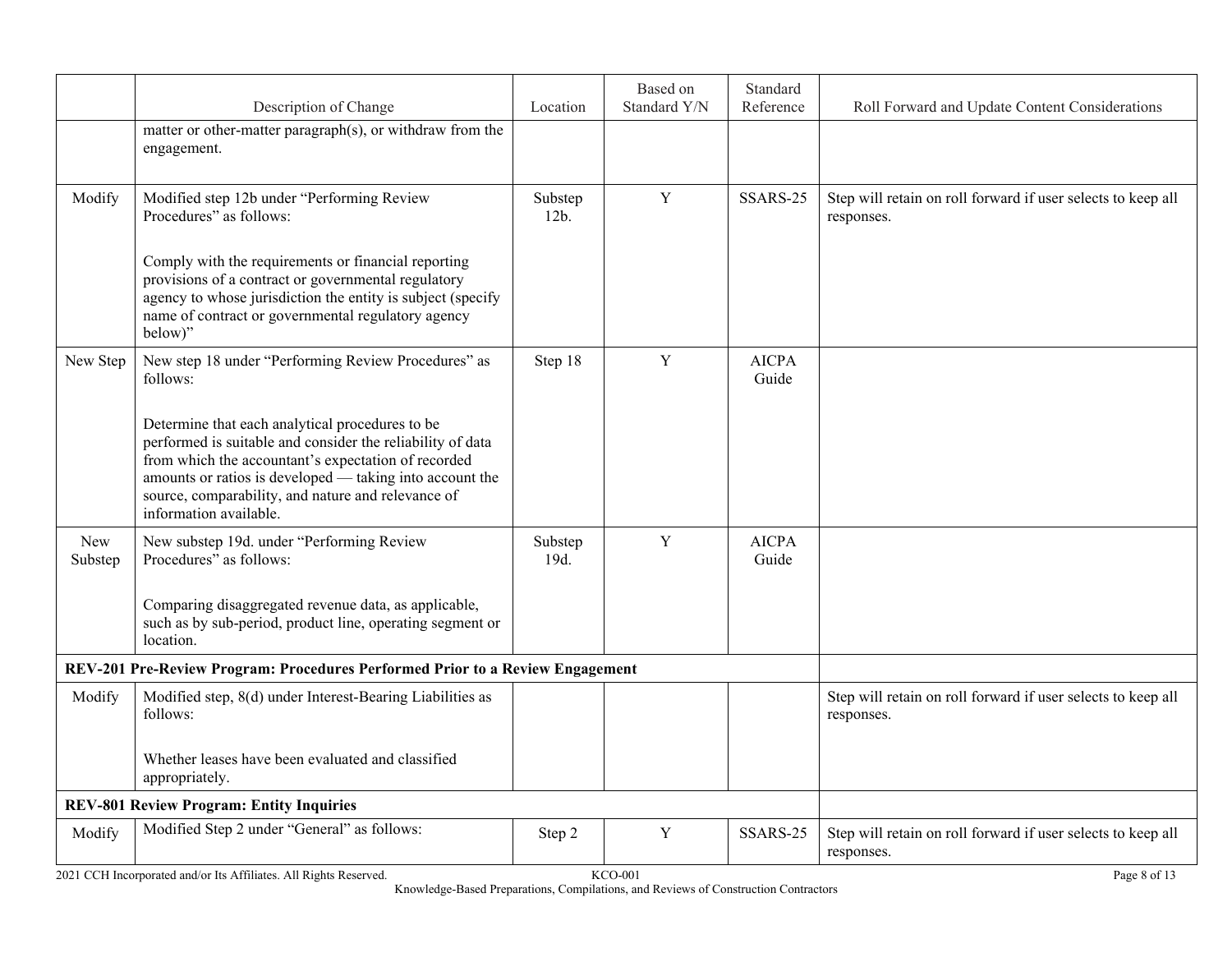| Description of Change                                                                                                                                                                                                                                                                                            | Location        | Based on<br>Standard Y/N | Standard<br>Reference                                                         | Roll Forward and Update Content Considerations                             |
|------------------------------------------------------------------------------------------------------------------------------------------------------------------------------------------------------------------------------------------------------------------------------------------------------------------|-----------------|--------------------------|-------------------------------------------------------------------------------|----------------------------------------------------------------------------|
| matter or other-matter paragraph(s), or withdraw from the<br>engagement.                                                                                                                                                                                                                                         |                 |                          |                                                                               |                                                                            |
| Modified step 12b under "Performing Review<br>Procedures" as follows:                                                                                                                                                                                                                                            | Substep<br>12b. | $\mathbf Y$              | SSARS-25                                                                      | Step will retain on roll forward if user selects to keep all<br>responses. |
| Comply with the requirements or financial reporting<br>provisions of a contract or governmental regulatory<br>agency to whose jurisdiction the entity is subject (specify<br>name of contract or governmental regulatory agency<br>below)"                                                                       |                 |                          |                                                                               |                                                                            |
| New step 18 under "Performing Review Procedures" as<br>follows:                                                                                                                                                                                                                                                  | Step 18         | $\mathbf Y$              | <b>AICPA</b><br>Guide                                                         |                                                                            |
| Determine that each analytical procedures to be<br>performed is suitable and consider the reliability of data<br>from which the accountant's expectation of recorded<br>amounts or ratios is developed — taking into account the<br>source, comparability, and nature and relevance of<br>information available. |                 |                          |                                                                               |                                                                            |
| New substep 19d. under "Performing Review<br>Procedures" as follows:                                                                                                                                                                                                                                             | Substep<br>19d. | Y                        | <b>AICPA</b><br>Guide                                                         |                                                                            |
| Comparing disaggregated revenue data, as applicable,<br>such as by sub-period, product line, operating segment or<br>location.                                                                                                                                                                                   |                 |                          |                                                                               |                                                                            |
|                                                                                                                                                                                                                                                                                                                  |                 |                          |                                                                               |                                                                            |
| Modified step, 8(d) under Interest-Bearing Liabilities as<br>follows:                                                                                                                                                                                                                                            |                 |                          |                                                                               | Step will retain on roll forward if user selects to keep all<br>responses. |
| Whether leases have been evaluated and classified<br>appropriately.                                                                                                                                                                                                                                              |                 |                          |                                                                               |                                                                            |
| <b>REV-801 Review Program: Entity Inquiries</b>                                                                                                                                                                                                                                                                  |                 |                          |                                                                               |                                                                            |
| Modified Step 2 under "General" as follows:                                                                                                                                                                                                                                                                      | Step 2          | Y                        | SSARS-25                                                                      | Step will retain on roll forward if user selects to keep all<br>responses. |
|                                                                                                                                                                                                                                                                                                                  |                 |                          | REV-201 Pre-Review Program: Procedures Performed Prior to a Review Engagement |                                                                            |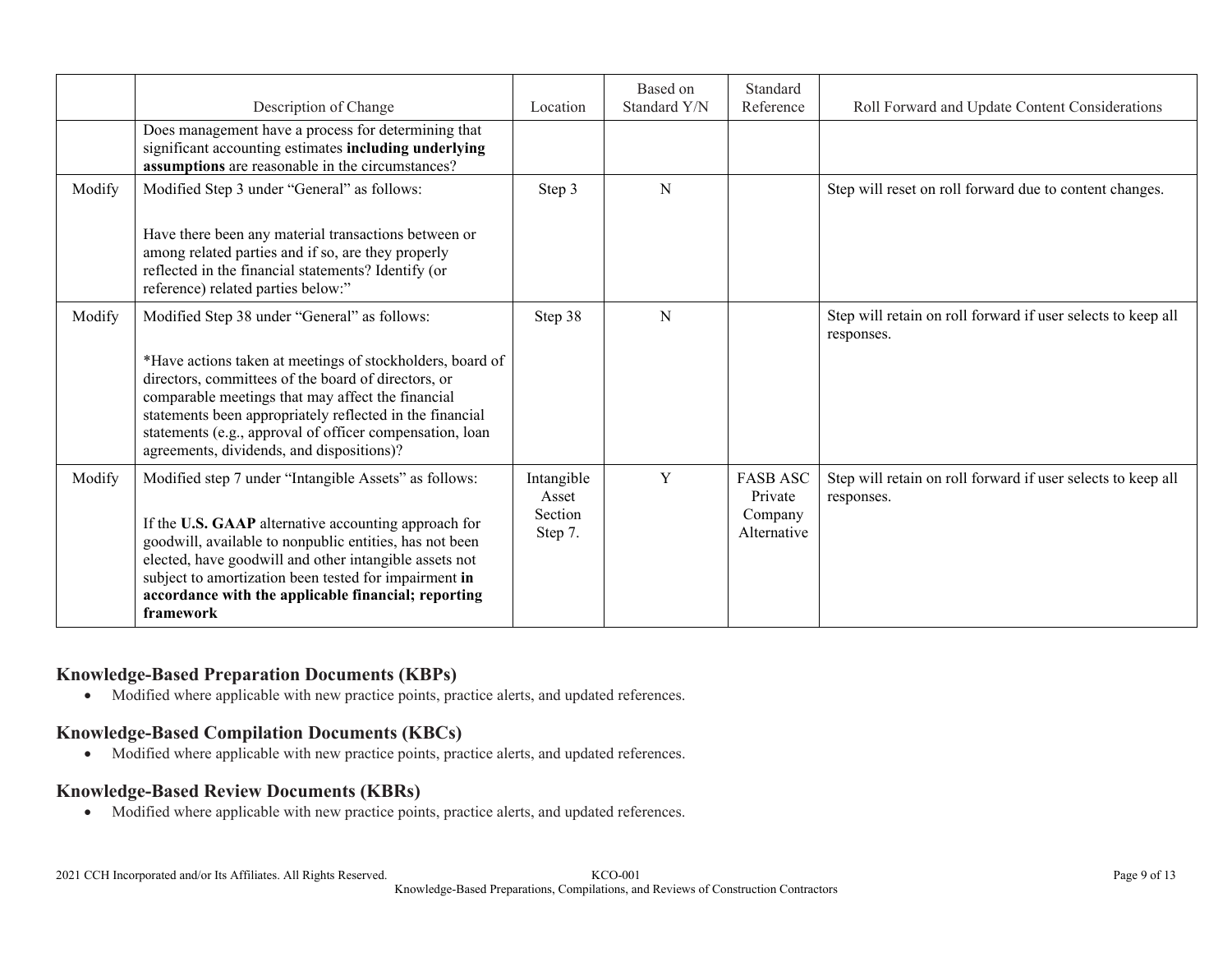|        | Description of Change                                                                                                                                                                                                                                                                                                                                                                      | Location                                  | Based on<br>Standard Y/N | Standard<br>Reference                                | Roll Forward and Update Content Considerations                             |
|--------|--------------------------------------------------------------------------------------------------------------------------------------------------------------------------------------------------------------------------------------------------------------------------------------------------------------------------------------------------------------------------------------------|-------------------------------------------|--------------------------|------------------------------------------------------|----------------------------------------------------------------------------|
|        | Does management have a process for determining that<br>significant accounting estimates including underlying<br>assumptions are reasonable in the circumstances?                                                                                                                                                                                                                           |                                           |                          |                                                      |                                                                            |
| Modify | Modified Step 3 under "General" as follows:<br>Have there been any material transactions between or<br>among related parties and if so, are they properly<br>reflected in the financial statements? Identify (or                                                                                                                                                                           | Step 3                                    | N                        |                                                      | Step will reset on roll forward due to content changes.                    |
|        | reference) related parties below:"                                                                                                                                                                                                                                                                                                                                                         |                                           |                          |                                                      |                                                                            |
| Modify | Modified Step 38 under "General" as follows:<br>*Have actions taken at meetings of stockholders, board of<br>directors, committees of the board of directors, or<br>comparable meetings that may affect the financial<br>statements been appropriately reflected in the financial<br>statements (e.g., approval of officer compensation, loan<br>agreements, dividends, and dispositions)? | Step 38                                   | N                        |                                                      | Step will retain on roll forward if user selects to keep all<br>responses. |
| Modify | Modified step 7 under "Intangible Assets" as follows:<br>If the U.S. GAAP alternative accounting approach for<br>goodwill, available to nonpublic entities, has not been<br>elected, have goodwill and other intangible assets not<br>subject to amortization been tested for impairment in<br>accordance with the applicable financial; reporting<br>framework                            | Intangible<br>Asset<br>Section<br>Step 7. | Y                        | <b>FASB ASC</b><br>Private<br>Company<br>Alternative | Step will retain on roll forward if user selects to keep all<br>responses. |

### **Knowledge-Based Preparation Documents (KBPs)**

Modified where applicable with new practice points, practice alerts, and updated references.

#### **Knowledge-Based Compilation Documents (KBCs)**

Modified where applicable with new practice points, practice alerts, and updated references.

#### **Knowledge-Based Review Documents (KBRs)**

Modified where applicable with new practice points, practice alerts, and updated references.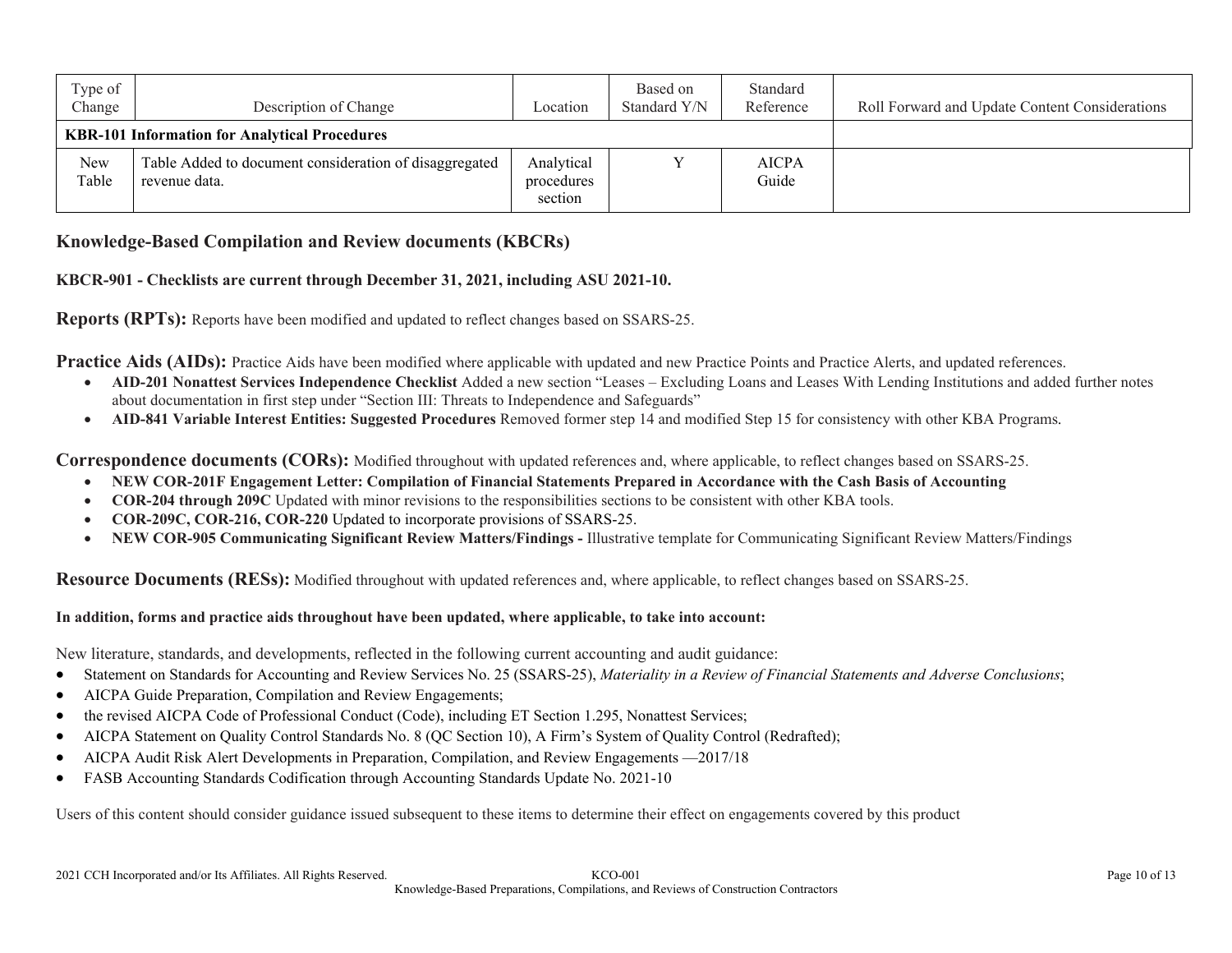| Type of<br>Change | Description of Change                                                   | Location                            | Based on<br>Standard Y/N | Standard<br>Reference | Roll Forward and Update Content Considerations |
|-------------------|-------------------------------------------------------------------------|-------------------------------------|--------------------------|-----------------------|------------------------------------------------|
|                   | <b>KBR-101 Information for Analytical Procedures</b>                    |                                     |                          |                       |                                                |
| New<br>Table      | Table Added to document consideration of disaggregated<br>revenue data. | Analytical<br>procedures<br>section |                          | <b>AICPA</b><br>Guide |                                                |

### **Knowledge-Based Compilation and Review documents (KBCRs)**

#### **KBCR-901 - Checklists are current through December 31, 2021, including ASU 2021-10.**

**Reports (RPTs):** Reports have been modified and updated to reflect changes based on SSARS-25.

**Practice Aids (AIDs):** Practice Aids have been modified where applicable with updated and new Practice Points and Practice Alerts, and updated references.

- **AID-201 Nonattest Services Independence Checklist** Added a new section "Leases Excluding Loans and Leases With Lending Institutions and added further notes about documentation in first step under "Section III: Threats to Independence and Safeguards"
- AID-841 Variable Interest Entities: Suggested Procedures Removed former step 14 and modified Step 15 for consistency with other KBA Programs.

**Correspondence documents (CORs):** Modified throughout with updated references and, where applicable, to reflect changes based on SSARS-25.

- **NEW COR-201F Engagement Letter: Compilation of Financial Statements Prepared in Accordance with the Cash Basis of Accounting**
- **COR-204 through 209C** Updated with minor revisions to the responsibilities sections to be consistent with other KBA tools.
- **COR-209C, COR-216, COR-220** Updated to incorporate provisions of SSARS-25.
- **NEW COR-905 Communicating Significant Review Matters/Findings -** Illustrative template for Communicating Significant Review Matters/Findings

**Resource Documents (RESs):** Modified throughout with updated references and, where applicable, to reflect changes based on SSARS-25.

#### **In addition, forms and practice aids throughout have been updated, where applicable, to take into account:**

New literature, standards, and developments, reflected in the following current accounting and audit guidance:

- Statement on Standards for Accounting and Review Services No. 25 (SSARS-25), *Materiality in a Review of Financial Statements and Adverse Conclusions*;
- AICPA Guide Preparation, Compilation and Review Engagements;
- the revised AICPA Code of Professional Conduct (Code), including ET Section 1.295, Nonattest Services;
- AICPA Statement on Quality Control Standards No. 8 (QC Section 10), A Firm's System of Quality Control (Redrafted);
- AICPA Audit Risk Alert Developments in Preparation, Compilation, and Review Engagements —2017/18
- FASB Accounting Standards Codification through Accounting Standards Update No. 2021-10

Users of this content should consider guidance issued subsequent to these items to determine their effect on engagements covered by this product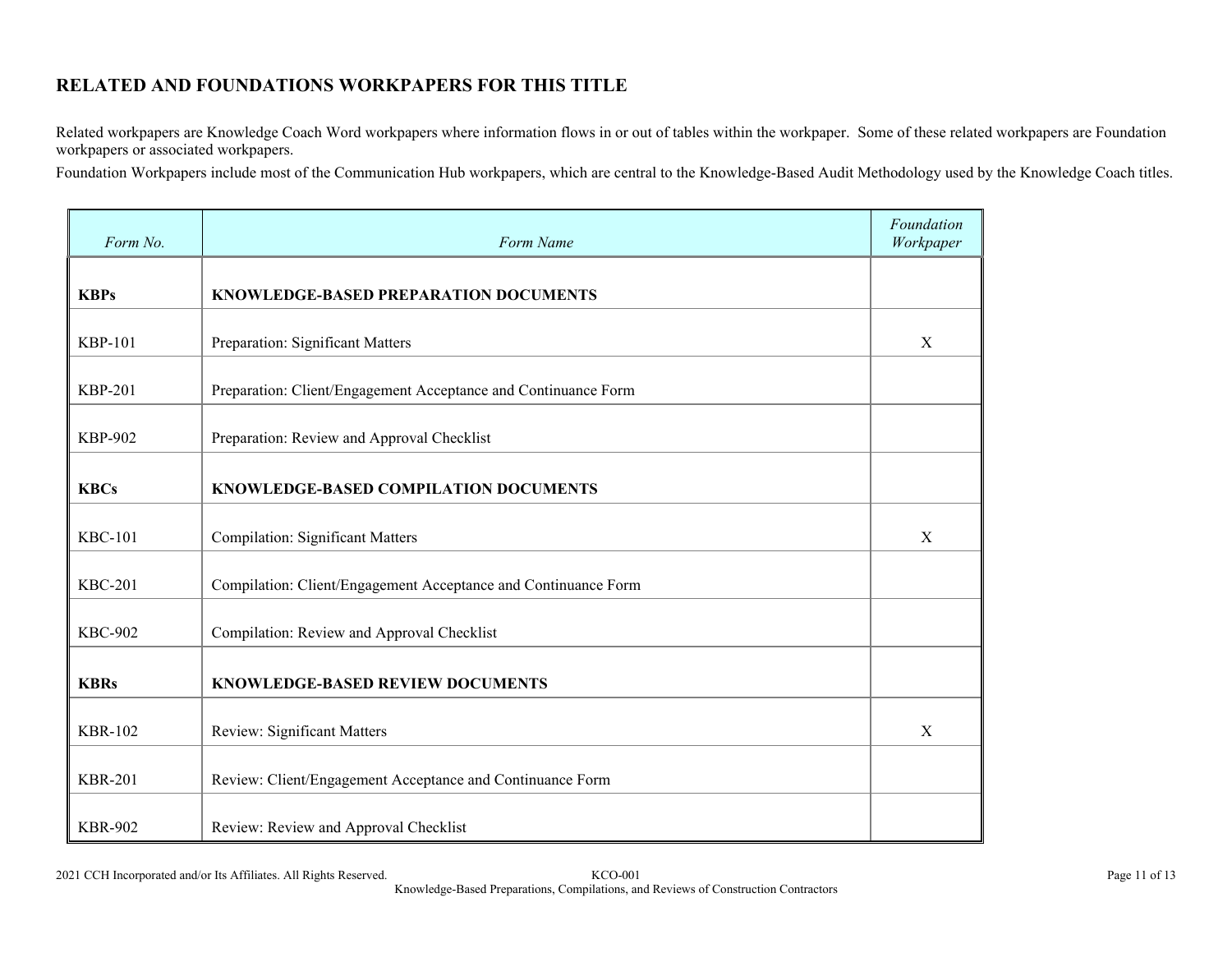## **RELATED AND FOUNDATIONS WORKPAPERS FOR THIS TITLE**

Related workpapers are Knowledge Coach Word workpapers where information flows in or out of tables within the workpaper. Some of these related workpapers are Foundation workpapers or associated workpapers.

Foundation Workpapers include most of the Communication Hub workpapers, which are central to the Knowledge-Based Audit Methodology used by the Knowledge Coach titles.

| Form No.       | Form Name                                                      | Foundation<br>Workpaper |
|----------------|----------------------------------------------------------------|-------------------------|
| <b>KBPs</b>    | KNOWLEDGE-BASED PREPARATION DOCUMENTS                          |                         |
| <b>KBP-101</b> | Preparation: Significant Matters                               | X                       |
| <b>KBP-201</b> | Preparation: Client/Engagement Acceptance and Continuance Form |                         |
| <b>KBP-902</b> | Preparation: Review and Approval Checklist                     |                         |
| <b>KBCs</b>    | KNOWLEDGE-BASED COMPILATION DOCUMENTS                          |                         |
| <b>KBC-101</b> | <b>Compilation: Significant Matters</b>                        | X                       |
| <b>KBC-201</b> | Compilation: Client/Engagement Acceptance and Continuance Form |                         |
| <b>KBC-902</b> | Compilation: Review and Approval Checklist                     |                         |
| <b>KBRs</b>    | KNOWLEDGE-BASED REVIEW DOCUMENTS                               |                         |
| <b>KBR-102</b> | Review: Significant Matters                                    | X                       |
| <b>KBR-201</b> | Review: Client/Engagement Acceptance and Continuance Form      |                         |
| <b>KBR-902</b> | Review: Review and Approval Checklist                          |                         |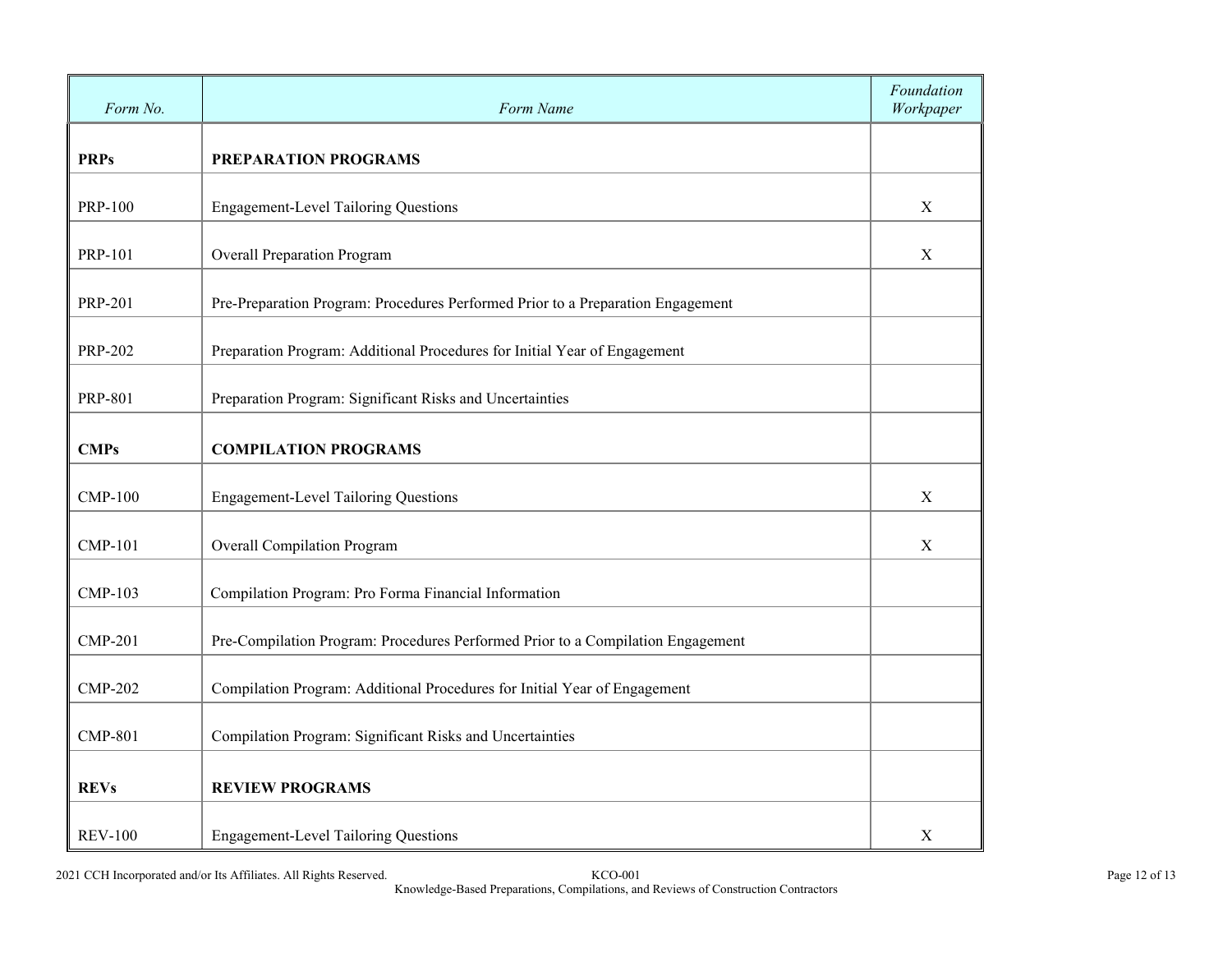| Form No.       | Form Name                                                                       | Foundation<br>Workpaper |
|----------------|---------------------------------------------------------------------------------|-------------------------|
| <b>PRPs</b>    | PREPARATION PROGRAMS                                                            |                         |
| <b>PRP-100</b> | <b>Engagement-Level Tailoring Questions</b>                                     | $\mathbf X$             |
| <b>PRP-101</b> | <b>Overall Preparation Program</b>                                              | X                       |
| <b>PRP-201</b> | Pre-Preparation Program: Procedures Performed Prior to a Preparation Engagement |                         |
| <b>PRP-202</b> | Preparation Program: Additional Procedures for Initial Year of Engagement       |                         |
| <b>PRP-801</b> | Preparation Program: Significant Risks and Uncertainties                        |                         |
| <b>CMPs</b>    | <b>COMPILATION PROGRAMS</b>                                                     |                         |
| <b>CMP-100</b> | <b>Engagement-Level Tailoring Questions</b>                                     | $\mathbf X$             |
| <b>CMP-101</b> | <b>Overall Compilation Program</b>                                              | X                       |
| <b>CMP-103</b> | Compilation Program: Pro Forma Financial Information                            |                         |
| <b>CMP-201</b> | Pre-Compilation Program: Procedures Performed Prior to a Compilation Engagement |                         |
| <b>CMP-202</b> | Compilation Program: Additional Procedures for Initial Year of Engagement       |                         |
| <b>CMP-801</b> | Compilation Program: Significant Risks and Uncertainties                        |                         |
| <b>REVs</b>    | <b>REVIEW PROGRAMS</b>                                                          |                         |
| <b>REV-100</b> | <b>Engagement-Level Tailoring Questions</b>                                     | $\mathbf X$             |